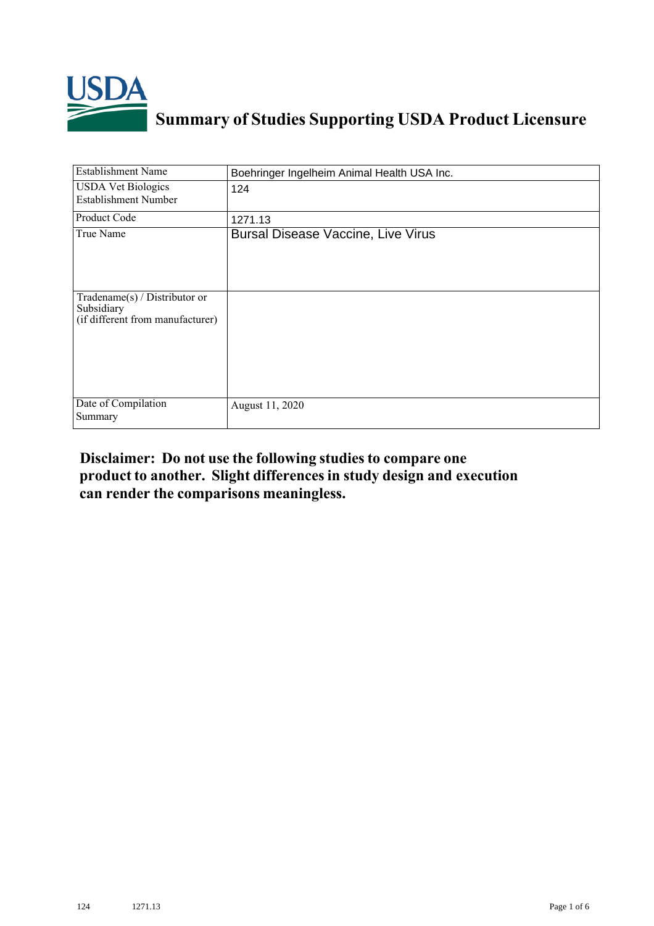

## **Summary of Studies Supporting USDA Product Licensure**

| <b>Establishment Name</b>                                                          | Boehringer Ingelheim Animal Health USA Inc. |
|------------------------------------------------------------------------------------|---------------------------------------------|
| <b>USDA Vet Biologics</b><br><b>Establishment Number</b>                           | 124                                         |
| Product Code                                                                       | 1271.13                                     |
| True Name                                                                          | <b>Bursal Disease Vaccine, Live Virus</b>   |
| Tradename $(s)$ / Distributor or<br>Subsidiary<br>(if different from manufacturer) |                                             |
| Date of Compilation<br>Summary                                                     | August 11, 2020                             |

## **Disclaimer: Do not use the following studiesto compare one product to another. Slight differencesin study design and execution can render the comparisons meaningless.**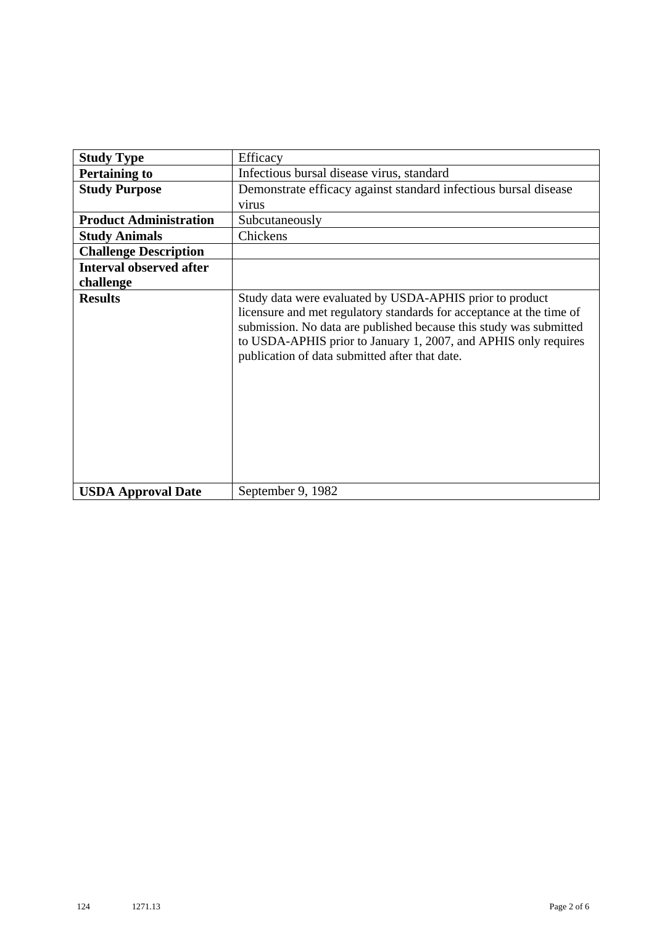| <b>Study Type</b>              | Efficacy                                                                                                                                                                                                                                                                                                                    |
|--------------------------------|-----------------------------------------------------------------------------------------------------------------------------------------------------------------------------------------------------------------------------------------------------------------------------------------------------------------------------|
| <b>Pertaining to</b>           | Infectious bursal disease virus, standard                                                                                                                                                                                                                                                                                   |
| <b>Study Purpose</b>           | Demonstrate efficacy against standard infectious bursal disease                                                                                                                                                                                                                                                             |
|                                | virus                                                                                                                                                                                                                                                                                                                       |
| <b>Product Administration</b>  | Subcutaneously                                                                                                                                                                                                                                                                                                              |
| <b>Study Animals</b>           | Chickens                                                                                                                                                                                                                                                                                                                    |
| <b>Challenge Description</b>   |                                                                                                                                                                                                                                                                                                                             |
| <b>Interval observed after</b> |                                                                                                                                                                                                                                                                                                                             |
| challenge                      |                                                                                                                                                                                                                                                                                                                             |
| <b>Results</b>                 | Study data were evaluated by USDA-APHIS prior to product<br>licensure and met regulatory standards for acceptance at the time of<br>submission. No data are published because this study was submitted<br>to USDA-APHIS prior to January 1, 2007, and APHIS only requires<br>publication of data submitted after that date. |
| <b>USDA Approval Date</b>      | September 9, 1982                                                                                                                                                                                                                                                                                                           |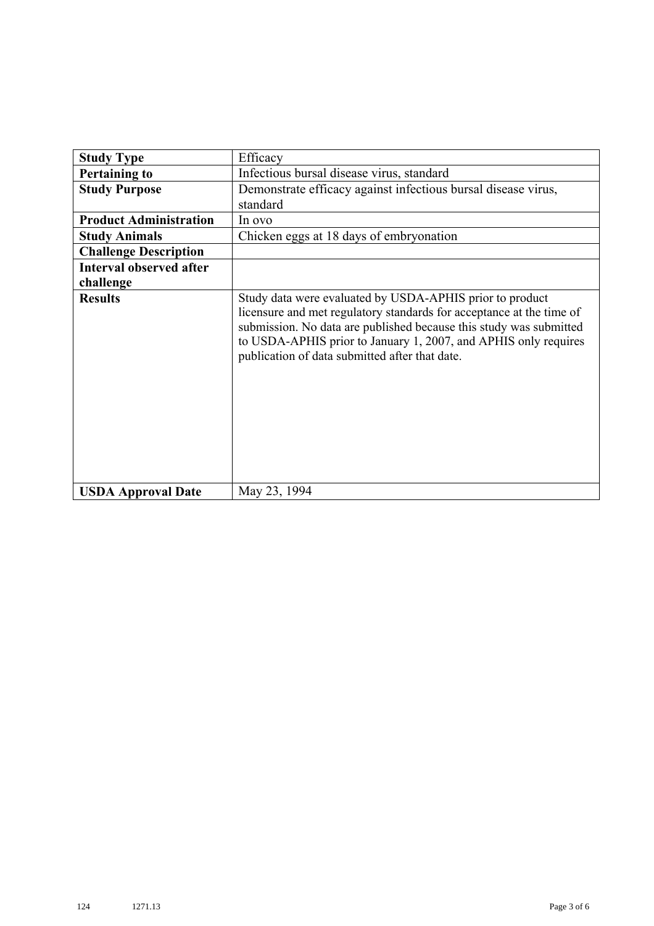| <b>Study Type</b>              | Efficacy                                                                                                                                                                                                                                                                                                                    |
|--------------------------------|-----------------------------------------------------------------------------------------------------------------------------------------------------------------------------------------------------------------------------------------------------------------------------------------------------------------------------|
|                                |                                                                                                                                                                                                                                                                                                                             |
| <b>Pertaining to</b>           | Infectious bursal disease virus, standard                                                                                                                                                                                                                                                                                   |
| <b>Study Purpose</b>           | Demonstrate efficacy against infectious bursal disease virus,                                                                                                                                                                                                                                                               |
|                                | standard                                                                                                                                                                                                                                                                                                                    |
| <b>Product Administration</b>  | In ovo                                                                                                                                                                                                                                                                                                                      |
| <b>Study Animals</b>           | Chicken eggs at 18 days of embryonation                                                                                                                                                                                                                                                                                     |
| <b>Challenge Description</b>   |                                                                                                                                                                                                                                                                                                                             |
| <b>Interval observed after</b> |                                                                                                                                                                                                                                                                                                                             |
| challenge                      |                                                                                                                                                                                                                                                                                                                             |
| <b>Results</b>                 | Study data were evaluated by USDA-APHIS prior to product<br>licensure and met regulatory standards for acceptance at the time of<br>submission. No data are published because this study was submitted<br>to USDA-APHIS prior to January 1, 2007, and APHIS only requires<br>publication of data submitted after that date. |
| <b>USDA Approval Date</b>      | May 23, 1994                                                                                                                                                                                                                                                                                                                |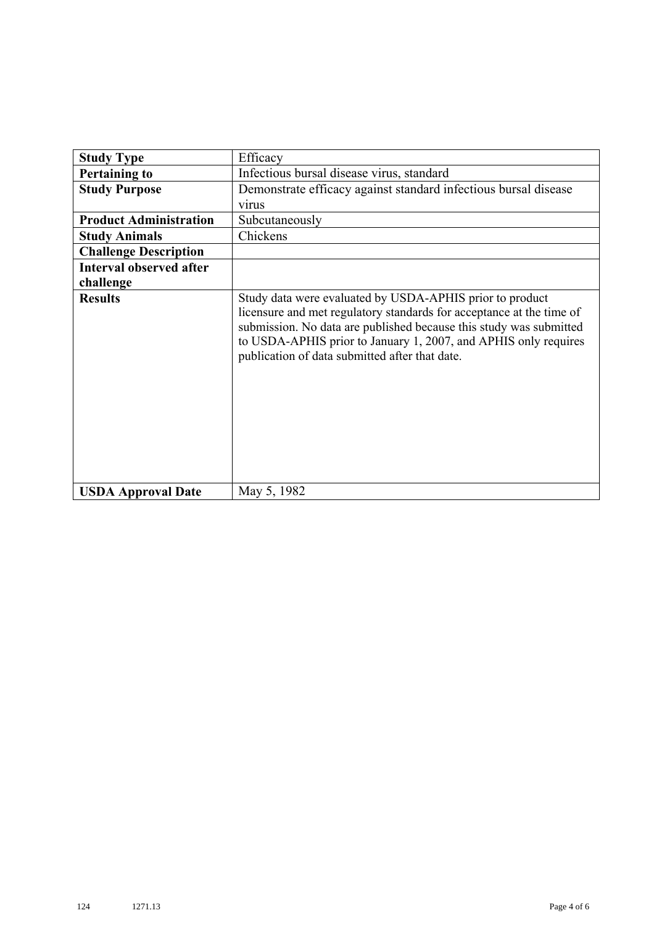| <b>Study Type</b>              | Efficacy                                                                                                                                                                                                                                                                                                                    |
|--------------------------------|-----------------------------------------------------------------------------------------------------------------------------------------------------------------------------------------------------------------------------------------------------------------------------------------------------------------------------|
| <b>Pertaining to</b>           | Infectious bursal disease virus, standard                                                                                                                                                                                                                                                                                   |
| <b>Study Purpose</b>           | Demonstrate efficacy against standard infectious bursal disease                                                                                                                                                                                                                                                             |
|                                | virus                                                                                                                                                                                                                                                                                                                       |
| <b>Product Administration</b>  | Subcutaneously                                                                                                                                                                                                                                                                                                              |
| <b>Study Animals</b>           | Chickens                                                                                                                                                                                                                                                                                                                    |
| <b>Challenge Description</b>   |                                                                                                                                                                                                                                                                                                                             |
| <b>Interval observed after</b> |                                                                                                                                                                                                                                                                                                                             |
| challenge                      |                                                                                                                                                                                                                                                                                                                             |
| <b>Results</b>                 | Study data were evaluated by USDA-APHIS prior to product<br>licensure and met regulatory standards for acceptance at the time of<br>submission. No data are published because this study was submitted<br>to USDA-APHIS prior to January 1, 2007, and APHIS only requires<br>publication of data submitted after that date. |
| <b>USDA Approval Date</b>      | May 5, 1982                                                                                                                                                                                                                                                                                                                 |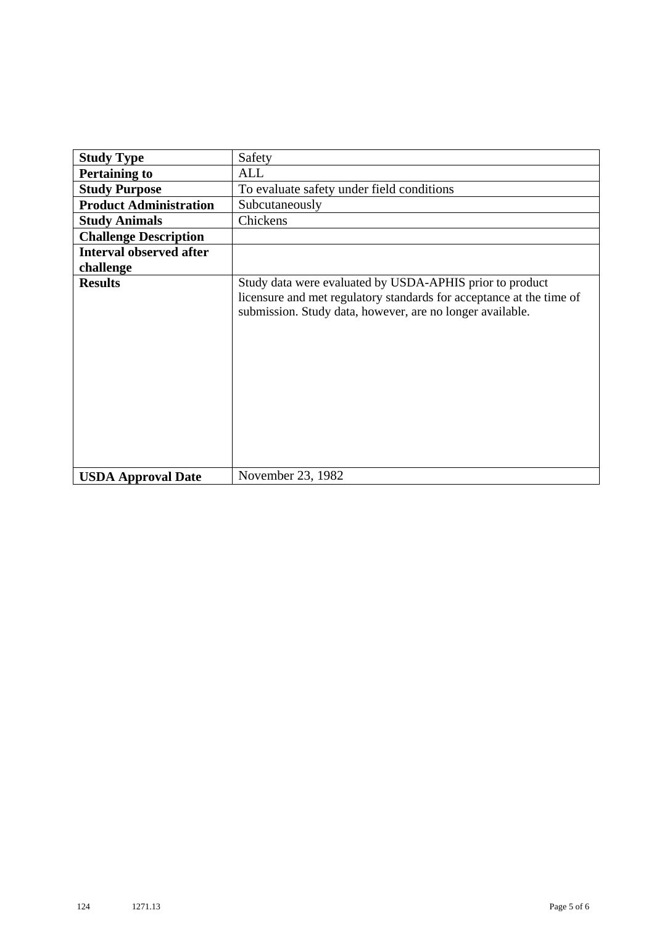| <b>Study Type</b>              | Safety                                                                                                                                                                                        |
|--------------------------------|-----------------------------------------------------------------------------------------------------------------------------------------------------------------------------------------------|
| <b>Pertaining to</b>           | <b>ALL</b>                                                                                                                                                                                    |
| <b>Study Purpose</b>           | To evaluate safety under field conditions                                                                                                                                                     |
| <b>Product Administration</b>  | Subcutaneously                                                                                                                                                                                |
| <b>Study Animals</b>           | Chickens                                                                                                                                                                                      |
| <b>Challenge Description</b>   |                                                                                                                                                                                               |
| <b>Interval observed after</b> |                                                                                                                                                                                               |
| challenge                      |                                                                                                                                                                                               |
| <b>Results</b>                 | Study data were evaluated by USDA-APHIS prior to product<br>licensure and met regulatory standards for acceptance at the time of<br>submission. Study data, however, are no longer available. |
| <b>USDA Approval Date</b>      | November 23, 1982                                                                                                                                                                             |